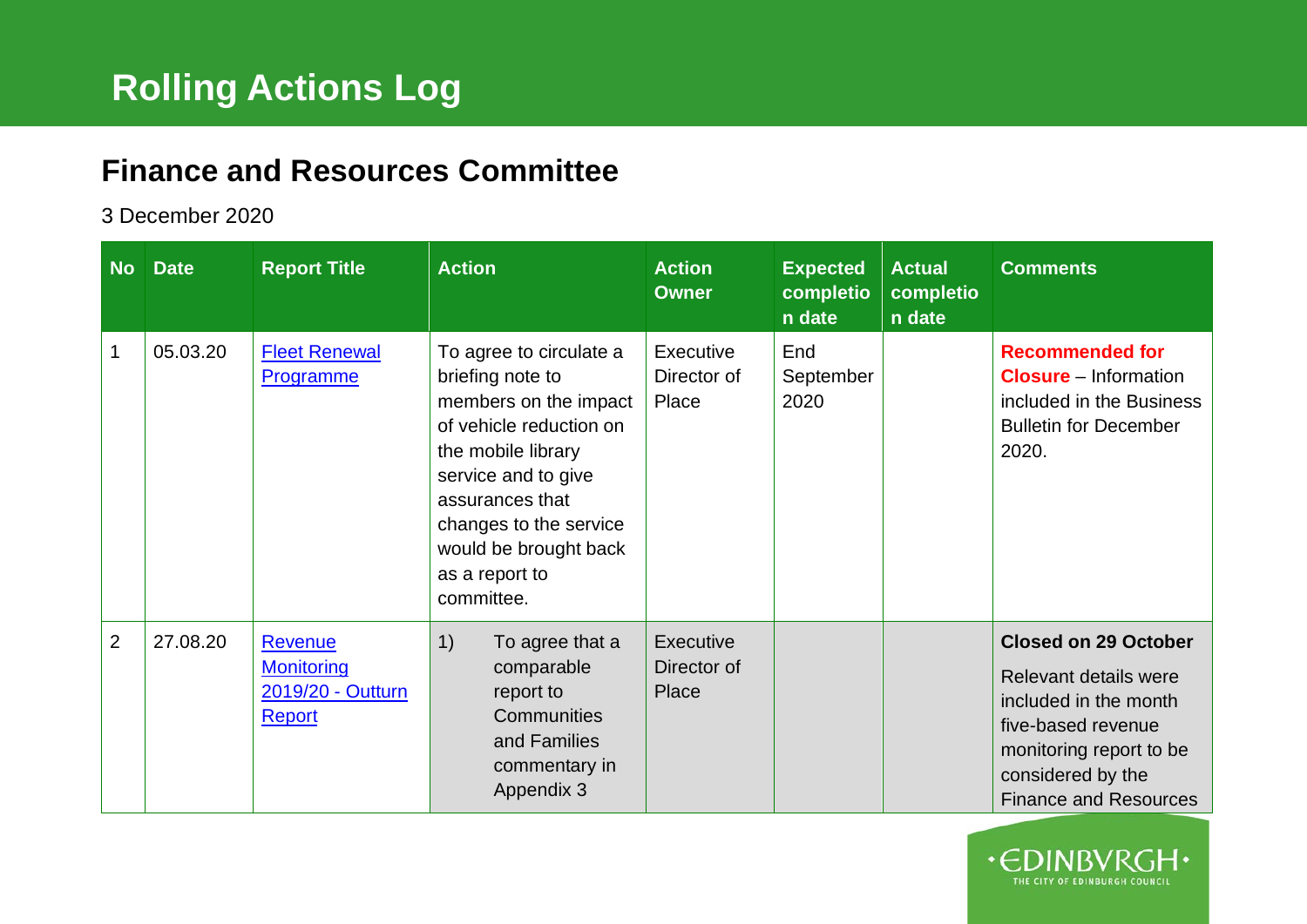## **Finance and Resources Committee**

## 3 December 2020

| <b>No</b>      | <b>Date</b> | <b>Report Title</b>                                         | <b>Action</b>                                                                                                                                                                                                                                      | <b>Action</b><br><b>Owner</b>     | <b>Expected</b><br>completio<br>n date | <b>Actual</b><br>completio<br>n date | <b>Comments</b>                                                                                                                                                                     |
|----------------|-------------|-------------------------------------------------------------|----------------------------------------------------------------------------------------------------------------------------------------------------------------------------------------------------------------------------------------------------|-----------------------------------|----------------------------------------|--------------------------------------|-------------------------------------------------------------------------------------------------------------------------------------------------------------------------------------|
| 1              | 05.03.20    | <b>Fleet Renewal</b><br>Programme                           | To agree to circulate a<br>briefing note to<br>members on the impact<br>of vehicle reduction on<br>the mobile library<br>service and to give<br>assurances that<br>changes to the service<br>would be brought back<br>as a report to<br>committee. | Executive<br>Director of<br>Place | End<br>September<br>2020               |                                      | <b>Recommended for</b><br><b>Closure</b> – Information<br>included in the Business<br><b>Bulletin for December</b><br>2020.                                                         |
| $\overline{2}$ | 27.08.20    | Revenue<br><b>Monitoring</b><br>2019/20 - Outturn<br>Report | 1)<br>To agree that a<br>comparable<br>report to<br>Communities<br>and Families<br>commentary in<br>Appendix 3                                                                                                                                     | Executive<br>Director of<br>Place |                                        |                                      | <b>Closed on 29 October</b><br>Relevant details were<br>included in the month<br>five-based revenue<br>monitoring report to be<br>considered by the<br><b>Finance and Resources</b> |

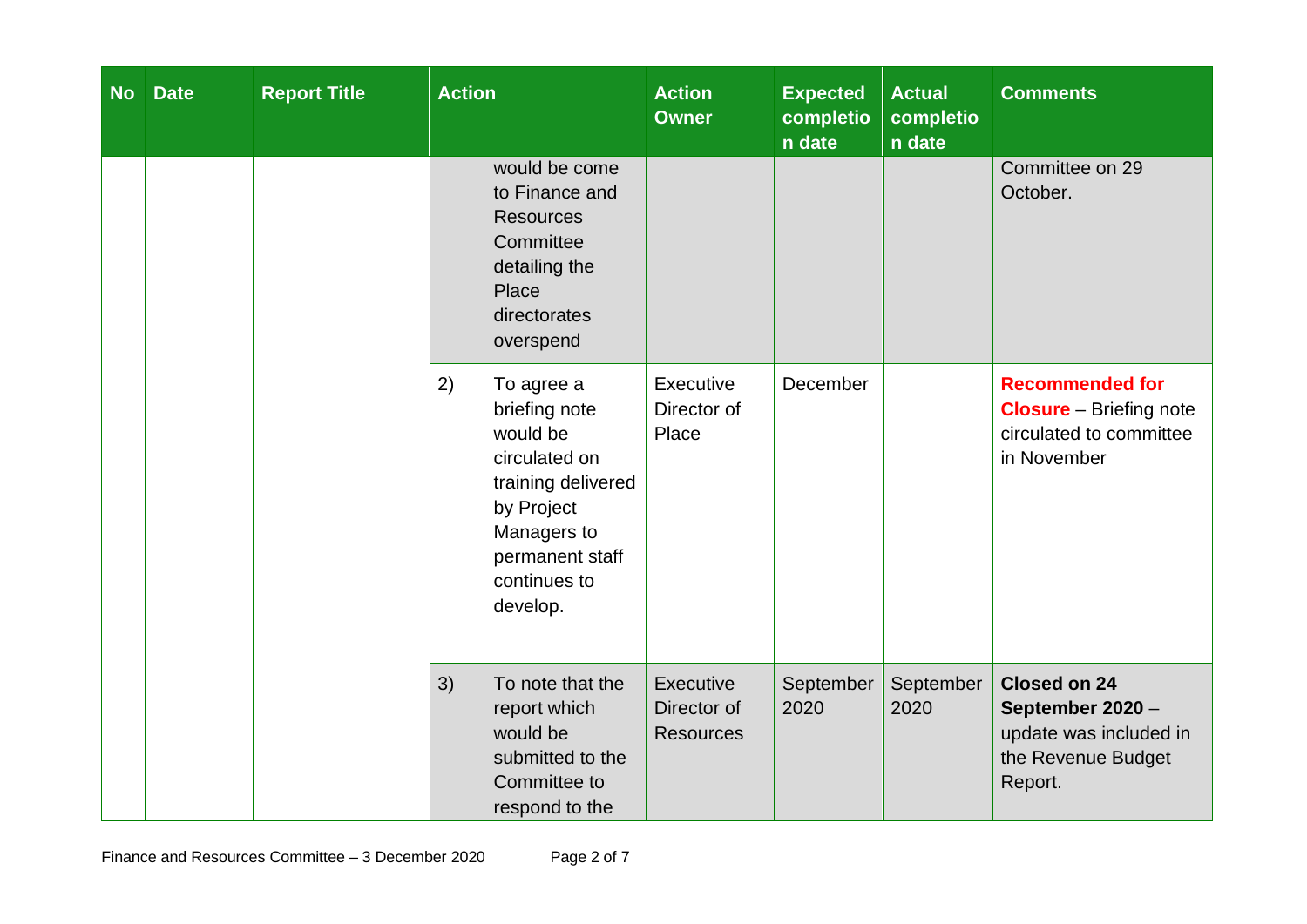| <b>No</b> | <b>Date</b> | <b>Report Title</b> | <b>Action</b>                                                                                                                                                    | <b>Action</b><br><b>Owner</b>                | <b>Expected</b><br>completio<br>n date | <b>Actual</b><br>completio<br>n date | <b>Comments</b>                                                                                    |
|-----------|-------------|---------------------|------------------------------------------------------------------------------------------------------------------------------------------------------------------|----------------------------------------------|----------------------------------------|--------------------------------------|----------------------------------------------------------------------------------------------------|
|           |             |                     | would be come<br>to Finance and<br><b>Resources</b><br>Committee<br>detailing the<br>Place<br>directorates<br>overspend                                          |                                              |                                        |                                      | Committee on 29<br>October.                                                                        |
|           |             |                     | 2)<br>To agree a<br>briefing note<br>would be<br>circulated on<br>training delivered<br>by Project<br>Managers to<br>permanent staff<br>continues to<br>develop. | Executive<br>Director of<br>Place            | December                               |                                      | <b>Recommended for</b><br><b>Closure</b> - Briefing note<br>circulated to committee<br>in November |
|           |             |                     | 3)<br>To note that the<br>report which<br>would be<br>submitted to the<br>Committee to<br>respond to the                                                         | Executive<br>Director of<br><b>Resources</b> | September<br>2020                      | September<br>2020                    | <b>Closed on 24</b><br>September 2020 -<br>update was included in<br>the Revenue Budget<br>Report. |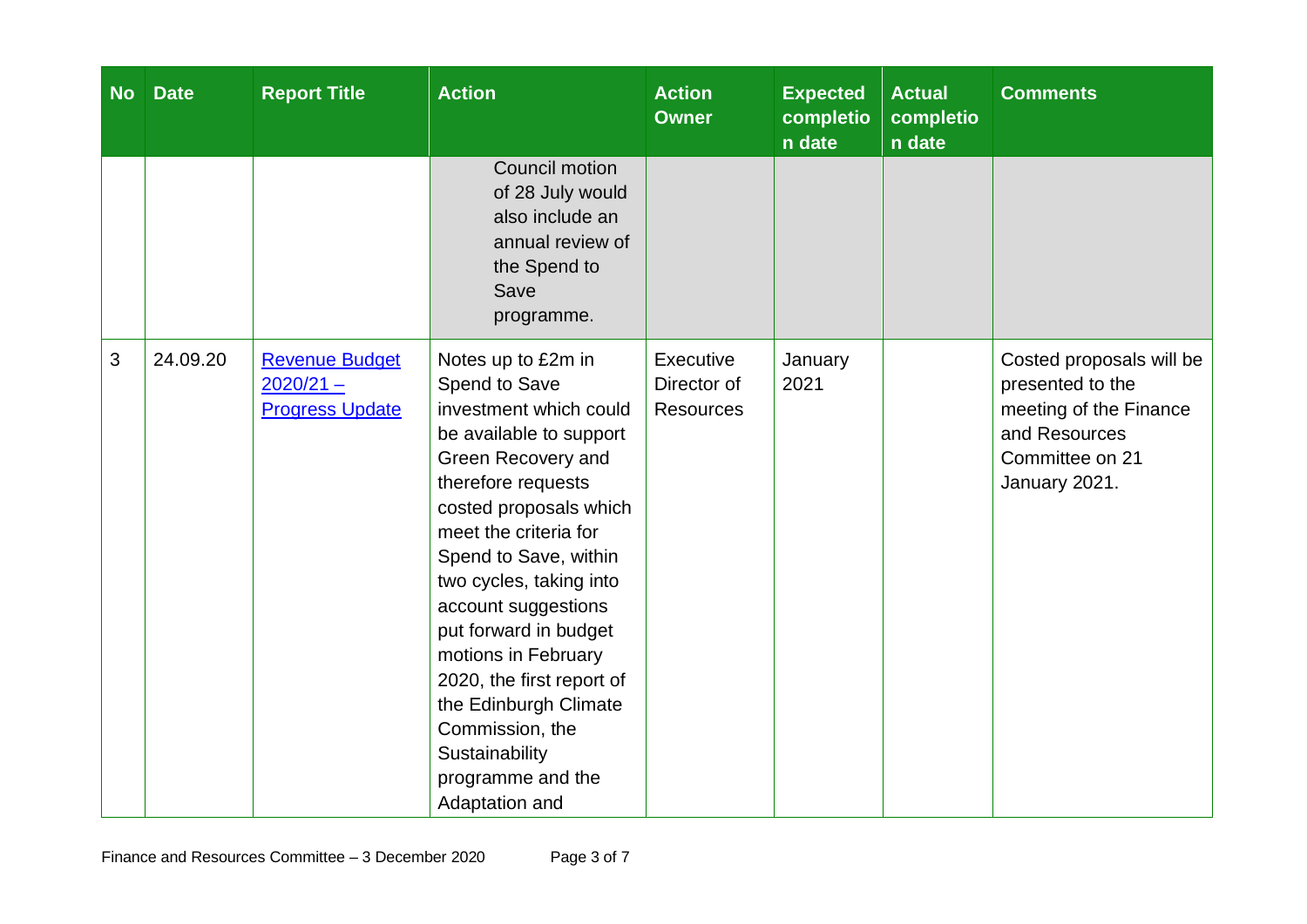| <b>No</b> | <b>Date</b> | <b>Report Title</b>                                            | <b>Action</b>                                                                                                                                                                                                                                                                                                                                                                                                                                        | <b>Action</b><br><b>Owner</b>                | <b>Expected</b><br>completio<br>n date | <b>Actual</b><br>completio<br>n date | <b>Comments</b>                                                                                                             |
|-----------|-------------|----------------------------------------------------------------|------------------------------------------------------------------------------------------------------------------------------------------------------------------------------------------------------------------------------------------------------------------------------------------------------------------------------------------------------------------------------------------------------------------------------------------------------|----------------------------------------------|----------------------------------------|--------------------------------------|-----------------------------------------------------------------------------------------------------------------------------|
|           |             |                                                                | Council motion<br>of 28 July would<br>also include an<br>annual review of<br>the Spend to<br>Save<br>programme.                                                                                                                                                                                                                                                                                                                                      |                                              |                                        |                                      |                                                                                                                             |
| 3         | 24.09.20    | <b>Revenue Budget</b><br>$2020/21 -$<br><b>Progress Update</b> | Notes up to £2m in<br>Spend to Save<br>investment which could<br>be available to support<br>Green Recovery and<br>therefore requests<br>costed proposals which<br>meet the criteria for<br>Spend to Save, within<br>two cycles, taking into<br>account suggestions<br>put forward in budget<br>motions in February<br>2020, the first report of<br>the Edinburgh Climate<br>Commission, the<br>Sustainability<br>programme and the<br>Adaptation and | Executive<br>Director of<br><b>Resources</b> | January<br>2021                        |                                      | Costed proposals will be<br>presented to the<br>meeting of the Finance<br>and Resources<br>Committee on 21<br>January 2021. |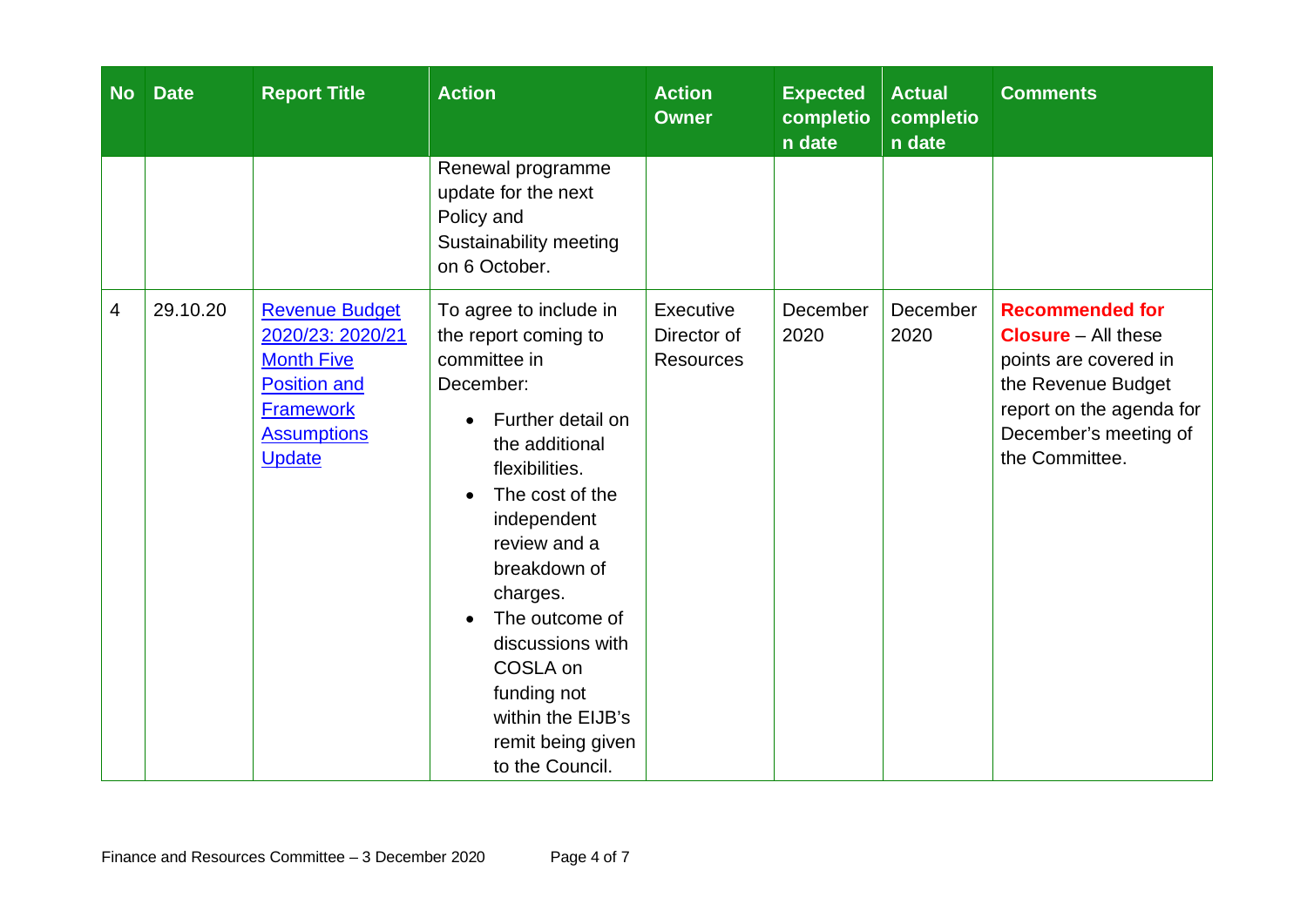| <b>No</b> | <b>Date</b> | <b>Report Title</b>                                                                                                                              | <b>Action</b>                                                                                                                                                                                                                                                                                                                                    | <b>Action</b><br><b>Owner</b>                | <b>Expected</b><br>completio<br>n date | <b>Actual</b><br>completio<br>n date | <b>Comments</b>                                                                                                                                                            |
|-----------|-------------|--------------------------------------------------------------------------------------------------------------------------------------------------|--------------------------------------------------------------------------------------------------------------------------------------------------------------------------------------------------------------------------------------------------------------------------------------------------------------------------------------------------|----------------------------------------------|----------------------------------------|--------------------------------------|----------------------------------------------------------------------------------------------------------------------------------------------------------------------------|
|           |             |                                                                                                                                                  | Renewal programme<br>update for the next<br>Policy and<br>Sustainability meeting<br>on 6 October.                                                                                                                                                                                                                                                |                                              |                                        |                                      |                                                                                                                                                                            |
| 4         | 29.10.20    | <b>Revenue Budget</b><br>2020/23: 2020/21<br><b>Month Five</b><br><b>Position and</b><br><b>Framework</b><br><b>Assumptions</b><br><b>Update</b> | To agree to include in<br>the report coming to<br>committee in<br>December:<br>Further detail on<br>the additional<br>flexibilities.<br>The cost of the<br>independent<br>review and a<br>breakdown of<br>charges.<br>The outcome of<br>discussions with<br>COSLA on<br>funding not<br>within the EIJB's<br>remit being given<br>to the Council. | Executive<br>Director of<br><b>Resources</b> | December<br>2020                       | December<br>2020                     | <b>Recommended for</b><br><b>Closure</b> – All these<br>points are covered in<br>the Revenue Budget<br>report on the agenda for<br>December's meeting of<br>the Committee. |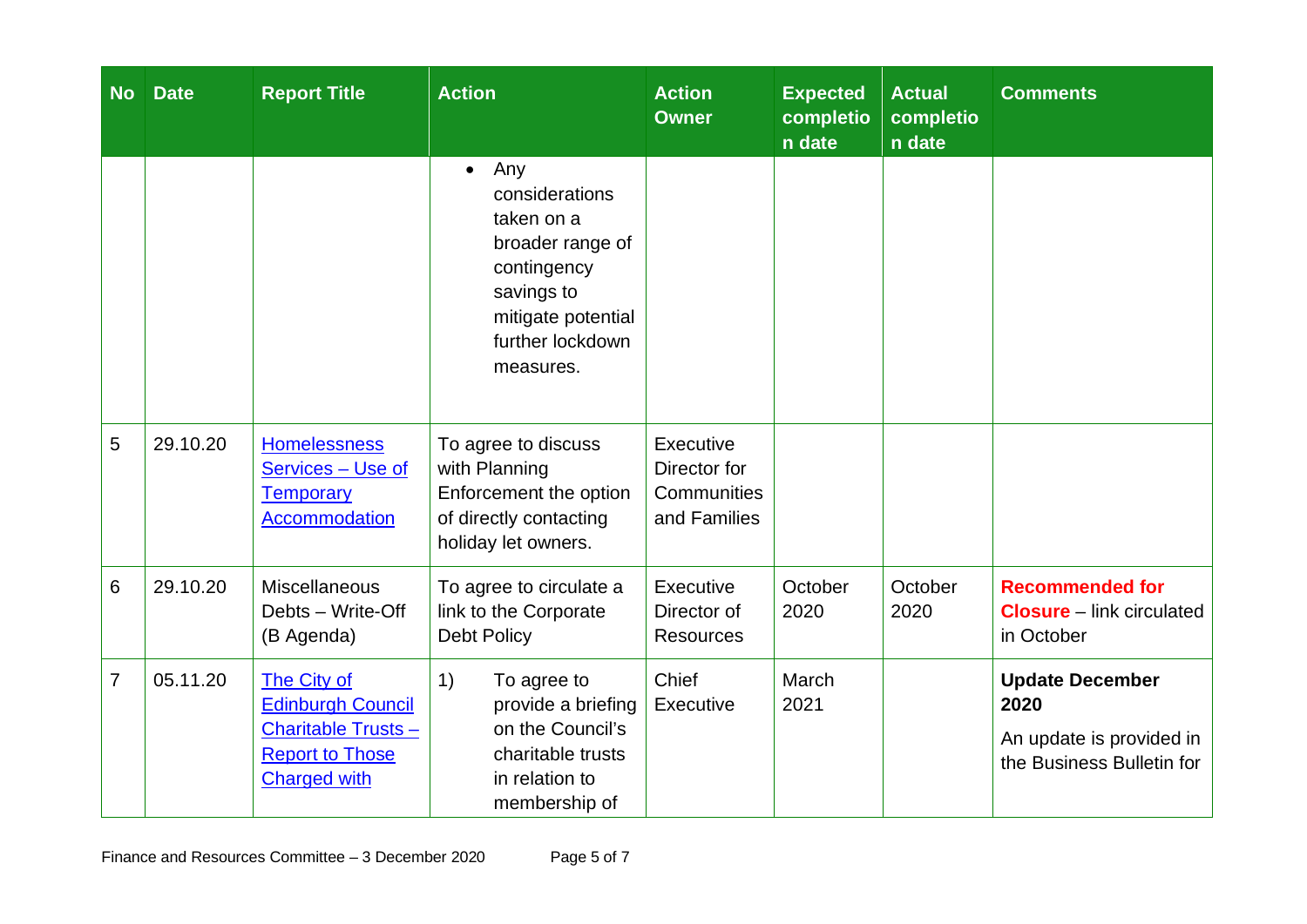| No             | <b>Date</b> | <b>Report Title</b>                                                                                                   | <b>Action</b>                                                                                                                                            | <b>Action</b><br><b>Owner</b>                            | <b>Expected</b><br>completio<br>n date | <b>Actual</b><br>completio<br>n date | <b>Comments</b>                                                                         |
|----------------|-------------|-----------------------------------------------------------------------------------------------------------------------|----------------------------------------------------------------------------------------------------------------------------------------------------------|----------------------------------------------------------|----------------------------------------|--------------------------------------|-----------------------------------------------------------------------------------------|
|                |             |                                                                                                                       | Any<br>$\bullet$<br>considerations<br>taken on a<br>broader range of<br>contingency<br>savings to<br>mitigate potential<br>further lockdown<br>measures. |                                                          |                                        |                                      |                                                                                         |
| 5              | 29.10.20    | <b>Homelessness</b><br>Services - Use of<br><b>Temporary</b><br>Accommodation                                         | To agree to discuss<br>with Planning<br>Enforcement the option<br>of directly contacting<br>holiday let owners.                                          | Executive<br>Director for<br>Communities<br>and Families |                                        |                                      |                                                                                         |
| 6              | 29.10.20    | <b>Miscellaneous</b><br>Debts - Write-Off<br>(B Agenda)                                                               | To agree to circulate a<br>link to the Corporate<br><b>Debt Policy</b>                                                                                   | Executive<br>Director of<br><b>Resources</b>             | October<br>2020                        | October<br>2020                      | <b>Recommended for</b><br><b>Closure</b> – link circulated<br>in October                |
| $\overline{7}$ | 05.11.20    | The City of<br><b>Edinburgh Council</b><br><b>Charitable Trusts-</b><br><b>Report to Those</b><br><b>Charged with</b> | 1)<br>To agree to<br>provide a briefing<br>on the Council's<br>charitable trusts<br>in relation to<br>membership of                                      | Chief<br>Executive                                       | March<br>2021                          |                                      | <b>Update December</b><br>2020<br>An update is provided in<br>the Business Bulletin for |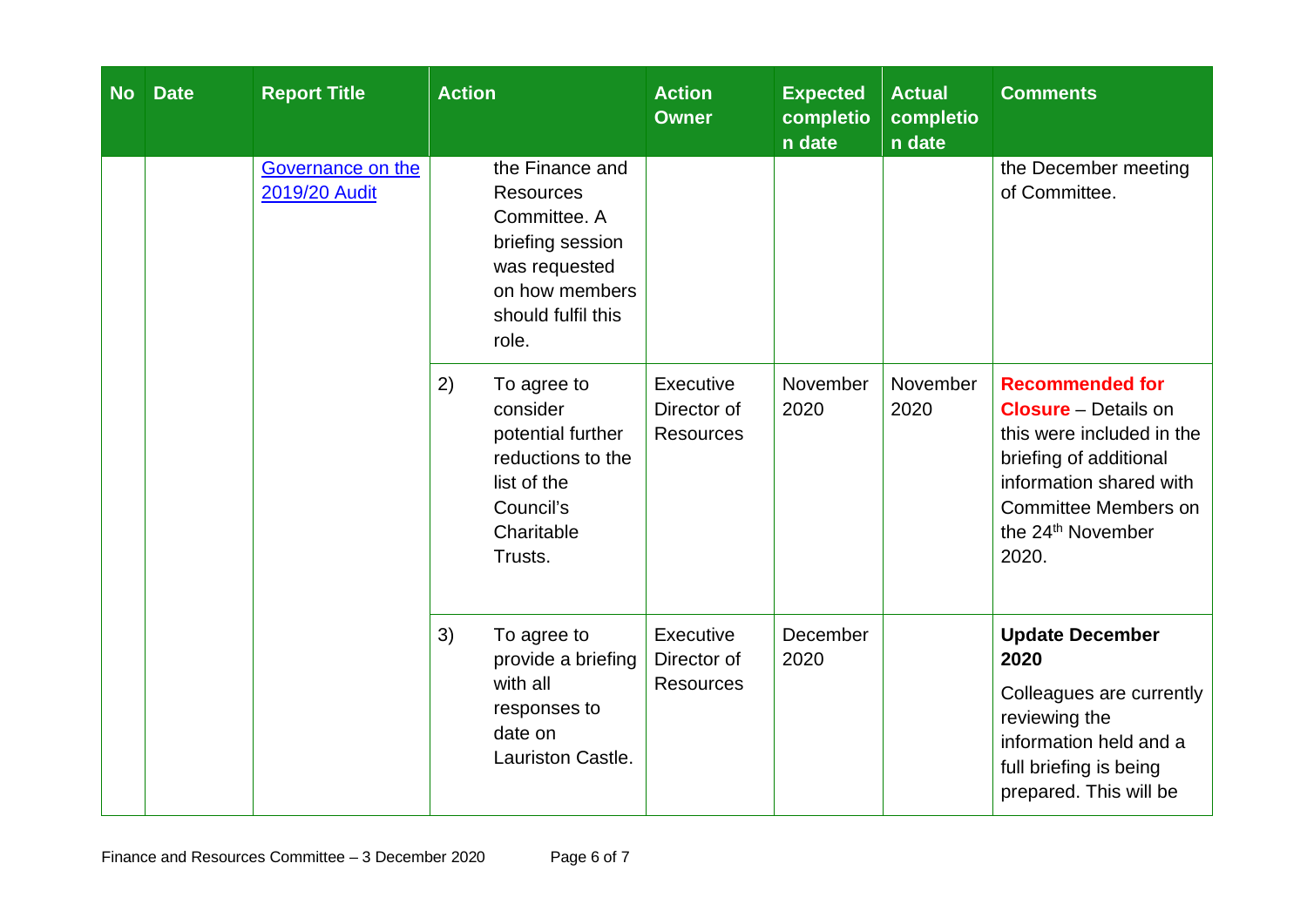| <b>No</b> | <b>Date</b> | <b>Report Title</b>                | <b>Action</b>                                                                                                                             | <b>Action</b><br><b>Owner</b>                | <b>Expected</b><br>completio<br>n date | <b>Actual</b><br>completio<br>n date | <b>Comments</b>                                                                                                                                                                                                  |
|-----------|-------------|------------------------------------|-------------------------------------------------------------------------------------------------------------------------------------------|----------------------------------------------|----------------------------------------|--------------------------------------|------------------------------------------------------------------------------------------------------------------------------------------------------------------------------------------------------------------|
|           |             | Governance on the<br>2019/20 Audit | the Finance and<br><b>Resources</b><br>Committee. A<br>briefing session<br>was requested<br>on how members<br>should fulfil this<br>role. |                                              |                                        |                                      | the December meeting<br>of Committee.                                                                                                                                                                            |
|           |             |                                    | 2)<br>To agree to<br>consider<br>potential further<br>reductions to the<br>list of the<br>Council's<br>Charitable<br>Trusts.              | Executive<br>Director of<br><b>Resources</b> | November<br>2020                       | November<br>2020                     | <b>Recommended for</b><br><b>Closure</b> – Details on<br>this were included in the<br>briefing of additional<br>information shared with<br><b>Committee Members on</b><br>the 24 <sup>th</sup> November<br>2020. |
|           |             |                                    | 3)<br>To agree to<br>provide a briefing<br>with all<br>responses to<br>date on<br>Lauriston Castle.                                       | Executive<br>Director of<br><b>Resources</b> | December<br>2020                       |                                      | <b>Update December</b><br>2020<br>Colleagues are currently<br>reviewing the<br>information held and a<br>full briefing is being<br>prepared. This will be                                                        |